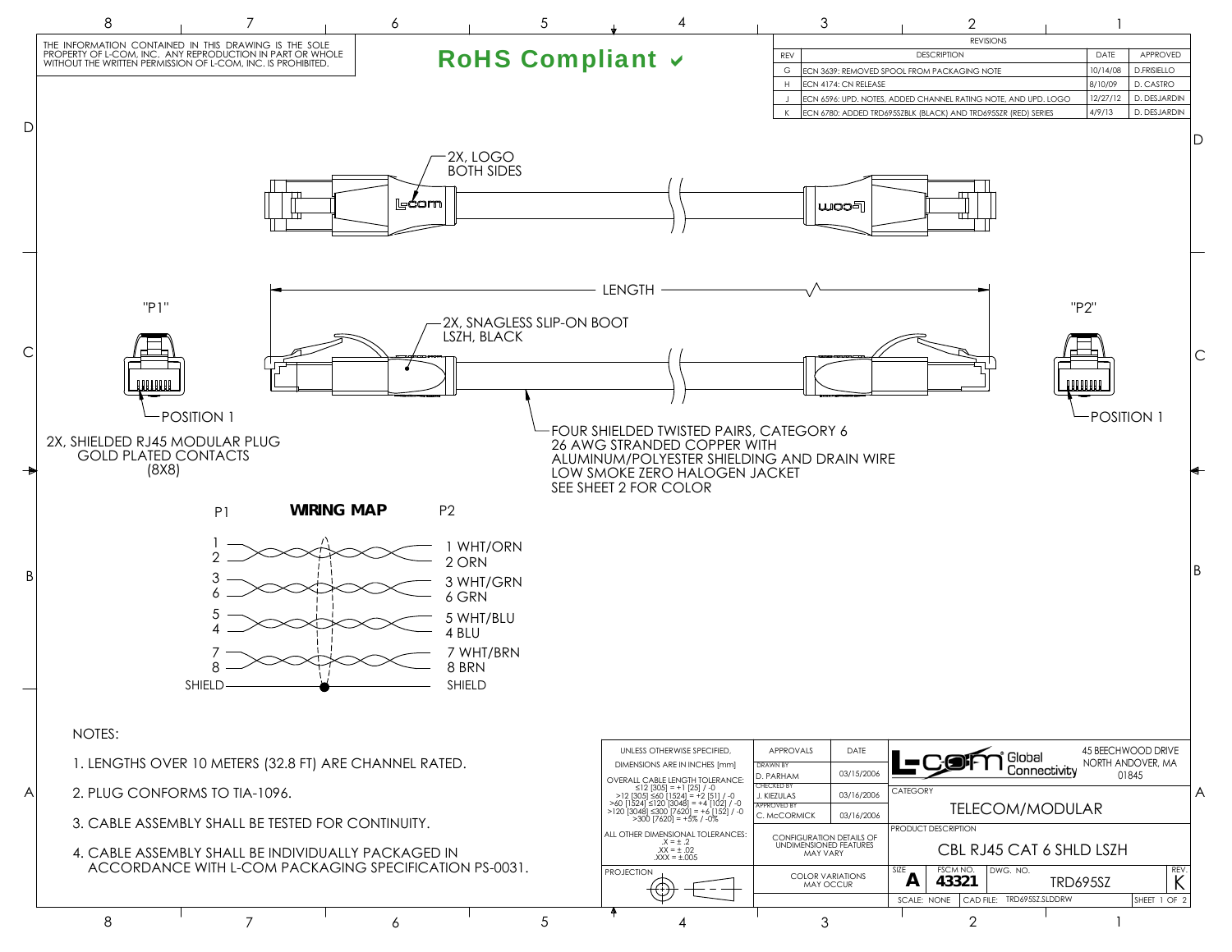